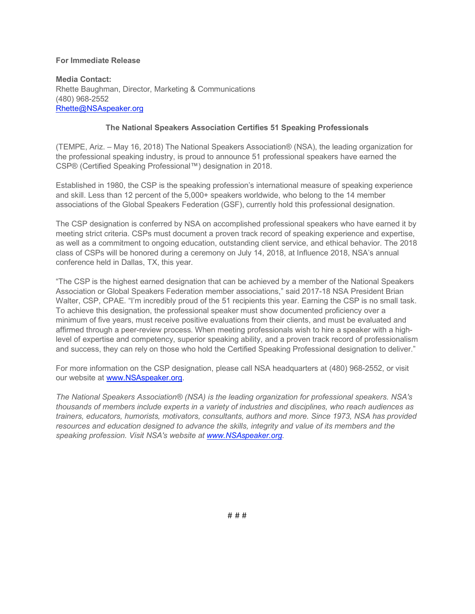## **For Immediate Release**

**Media Contact:** Rhette Baughman, Director, Marketing & Communications (480) 968-2552 Rhette@NSAspeaker.org

## **The National Speakers Association Certifies 51 Speaking Professionals**

(TEMPE, Ariz. – May 16, 2018) The National Speakers Association® (NSA), the leading organization for the professional speaking industry, is proud to announce 51 professional speakers have earned the CSP® (Certified Speaking Professional™) designation in 2018.

Established in 1980, the CSP is the speaking profession's international measure of speaking experience and skill. Less than 12 percent of the 5,000+ speakers worldwide, who belong to the 14 member associations of the Global Speakers Federation (GSF), currently hold this professional designation.

The CSP designation is conferred by NSA on accomplished professional speakers who have earned it by meeting strict criteria. CSPs must document a proven track record of speaking experience and expertise, as well as a commitment to ongoing education, outstanding client service, and ethical behavior. The 2018 class of CSPs will be honored during a ceremony on July 14, 2018, at Influence 2018, NSA's annual conference held in Dallas, TX, this year.

"The CSP is the highest earned designation that can be achieved by a member of the National Speakers Association or Global Speakers Federation member associations," said 2017-18 NSA President Brian Walter, CSP, CPAE. "I'm incredibly proud of the 51 recipients this year. Earning the CSP is no small task. To achieve this designation, the professional speaker must show documented proficiency over a minimum of five years, must receive positive evaluations from their clients, and must be evaluated and affirmed through a peer-review process. When meeting professionals wish to hire a speaker with a highlevel of expertise and competency, superior speaking ability, and a proven track record of professionalism and success, they can rely on those who hold the Certified Speaking Professional designation to deliver."

For more information on the CSP designation, please call NSA headquarters at (480) 968-2552, or visit our website at www.NSAspeaker.org.

*The National Speakers Association® (NSA) is the leading organization for professional speakers. NSA's thousands of members include experts in a variety of industries and disciplines, who reach audiences as trainers, educators, humorists, motivators, consultants, authors and more. Since 1973, NSA has provided resources and education designed to advance the skills, integrity and value of its members and the speaking profession. Visit NSA's website at www.NSAspeaker.org.*